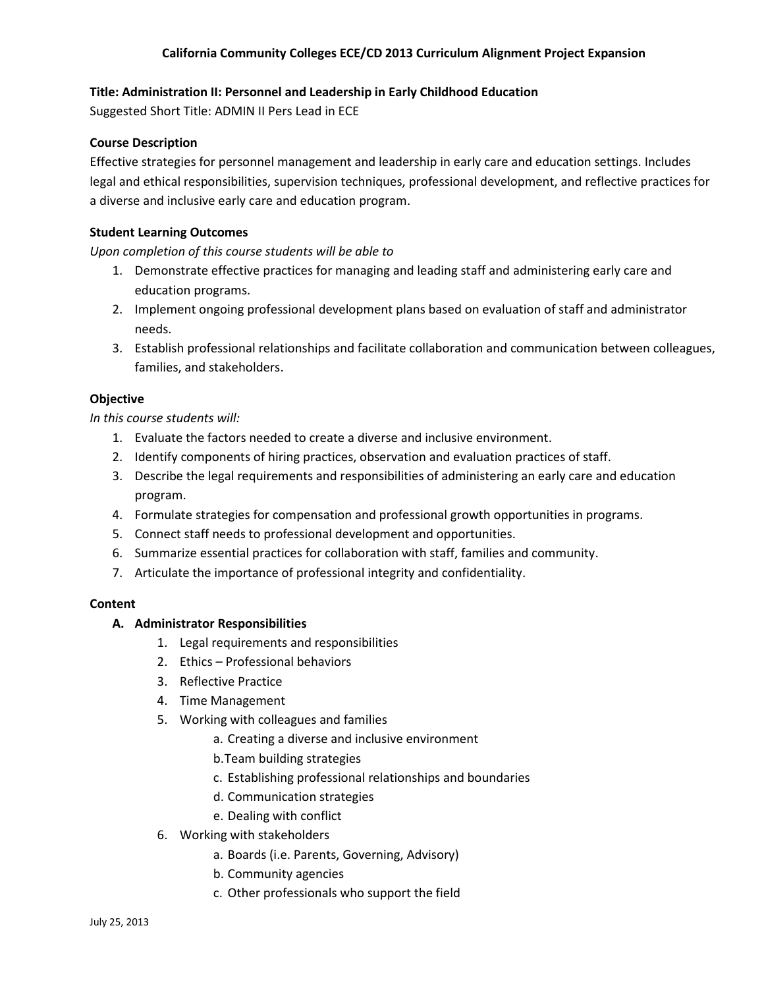# **Title: Administration II: Personnel and Leadership in Early Childhood Education**

Suggested Short Title: ADMIN II Pers Lead in ECE

## **Course Description**

Effective strategies for personnel management and leadership in early care and education settings. Includes legal and ethical responsibilities, supervision techniques, professional development, and reflective practices for a diverse and inclusive early care and education program.

## **Student Learning Outcomes**

*Upon completion of this course students will be able to*

- 1. Demonstrate effective practices for managing and leading staff and administering early care and education programs.
- 2. Implement ongoing professional development plans based on evaluation of staff and administrator needs.
- 3. Establish professional relationships and facilitate collaboration and communication between colleagues, families, and stakeholders.

# **Objective**

*In this course students will:*

- 1. Evaluate the factors needed to create a diverse and inclusive environment.
- 2. Identify components of hiring practices, observation and evaluation practices of staff.
- 3. Describe the legal requirements and responsibilities of administering an early care and education program.
- 4. Formulate strategies for compensation and professional growth opportunities in programs.
- 5. Connect staff needs to professional development and opportunities.
- 6. Summarize essential practices for collaboration with staff, families and community.
- 7. Articulate the importance of professional integrity and confidentiality.

#### **Content**

#### **A. Administrator Responsibilities**

- 1. Legal requirements and responsibilities
- 2. Ethics Professional behaviors
- 3. Reflective Practice
- 4. Time Management
- 5. Working with colleagues and families
	- a. Creating a diverse and inclusive environment
	- b.Team building strategies
	- c. Establishing professional relationships and boundaries
	- d. Communication strategies
	- e. Dealing with conflict
- 6. Working with stakeholders
	- a. Boards (i.e. Parents, Governing, Advisory)
	- b. Community agencies
	- c. Other professionals who support the field